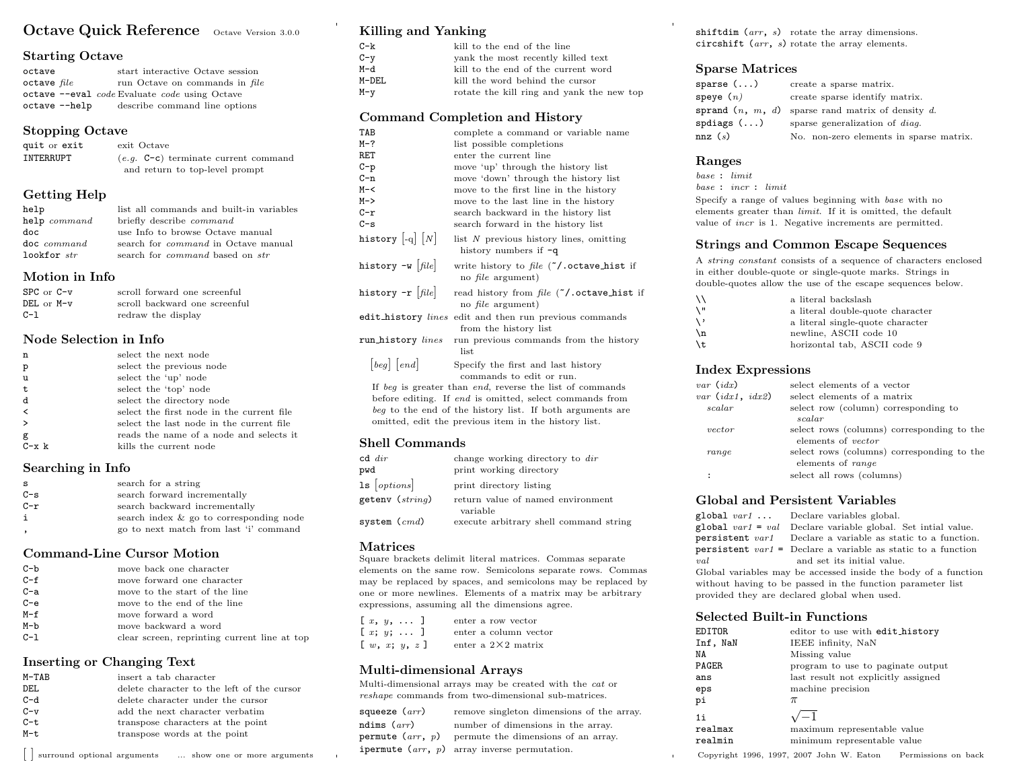# Octave Quick Reference Octave Version 3.0.0

# Starting Octave

| octave          |               | start interactive Octave session              |
|-----------------|---------------|-----------------------------------------------|
| $octave$ $file$ |               | run Octave on commands in file                |
|                 |               | octave --eval code Evaluate code using Octave |
|                 | octave --help | describe command line options                 |

### Stopping Octave

| quit or exit | exit Octave                            |
|--------------|----------------------------------------|
| INTERRUPT    | $(e,q, C-c)$ terminate current command |
|              | and return to top-level prompt         |

# Getting Help

| help                   | list all commands and built-in variables      |
|------------------------|-----------------------------------------------|
| help command           | briefly describe <i>command</i>               |
| doc                    | use Info to browse Octave manual              |
| $\texttt{doc}$ command | search for <i>command</i> in Octave manual    |
| lookfor str            | search for <i>command</i> based on <i>str</i> |

### Motion in Info

| $SPC$ or $C-v$ | scroll forward one screenful  |
|----------------|-------------------------------|
| $DEL$ or $M-v$ | scroll backward one screenful |
| $C-1$          | redraw the display            |

### Node Selection in Info

| n                        | select the next node                      |
|--------------------------|-------------------------------------------|
| p                        | select the previous node                  |
| u                        | select the 'up' node                      |
| t                        | select the 'top' node                     |
| d                        | select the directory node                 |
| $\overline{\phantom{a}}$ | select the first node in the current file |
| $\rightarrow$            | select the last node in the current file  |
| g                        | reads the name of a node and selects it   |
| $C - x k$                | kills the current node                    |

### Searching in Info

| <b>S</b> | search for a string                     |
|----------|-----------------------------------------|
| $C-S$    | search forward incrementally            |
| C-r      | search backward incrementally           |
| i        | search index & go to corresponding node |
|          | go to next match from last 'i' command  |

### Command-Line Cursor Motion

| $C-b$   | move back one character                      |
|---------|----------------------------------------------|
| $C - f$ | move forward one character                   |
| $C-a$   | move to the start of the line                |
| $C - e$ | move to the end of the line                  |
| $M-f$   | move forward a word                          |
| $M-b$   | move backward a word                         |
| $C-1$   | clear screen, reprinting current line at top |

### Inserting or Changing Text

| M-TAB | insert a tab character                     |
|-------|--------------------------------------------|
| DEL   | delete character to the left of the cursor |
| C-d   | delete character under the cursor          |
| $C-v$ | add the next character verbatim            |
| C-t   | transpose characters at the point          |
| M-t   | transpose words at the point               |
|       |                                            |

| surround optional arguments ... show one or more arguments

# Killing and Yanking

| $C - k$ | kill to the end of the line               |
|---------|-------------------------------------------|
| $C - v$ | yank the most recently killed text        |
| M-d     | kill to the end of the current word       |
| M-DEL   | kill the word behind the cursor           |
| $M - v$ | rotate the kill ring and yank the new top |

# Command Completion and History

| TAB                                                      | complete a command or variable name                                                    |
|----------------------------------------------------------|----------------------------------------------------------------------------------------|
| M-?                                                      | list possible completions                                                              |
| RET                                                      | enter the current line                                                                 |
| C-p                                                      | move 'up' through the history list                                                     |
| C-n                                                      | move 'down' through the history list                                                   |
| M-<                                                      | move to the first line in the history                                                  |
| M->                                                      | move to the last line in the history                                                   |
| $c-r$                                                    | search backward in the history list                                                    |
| C-s                                                      | search forward in the history list                                                     |
| history $\left  \textrm{-q} \right  \, \left  N \right $ | list $N$ previous history lines, omitting<br>history numbers if $-q$                   |
| history -w $ {\it file} $                                | write history to file $(7)$ . octave_hist if<br>no <i>file</i> argument)               |
| history -r $[\mathit{file}]$                             | read history from file ("/.octave_hist if<br>no <i>file</i> argument)                  |
|                                                          | edit_history <i>lines</i> edit and then run previous commands<br>from the history list |
| run_history lines                                        | run previous commands from the history<br>list                                         |
| [beg] [end]                                              | Specify the first and last history                                                     |
|                                                          | commands to edit or run.                                                               |
|                                                          | If beg is greater than end, reverse the list of commands                               |
|                                                          | before editing. If end is omitted, select commands from                                |
|                                                          | beg to the end of the history list. If both arguments are                              |
|                                                          | omitted, edit the previous item in the history list.                                   |

# Shell Commands

| $cd \ dir$          | change working directory to dir               |
|---------------------|-----------------------------------------------|
| pwd                 | print working directory                       |
| $1s$ [options]      | print directory listing                       |
| getenv ( $string$ ) | return value of named environment<br>variable |
| system ( $cmd)$     | execute arbitrary shell command string        |

### Matrices

Square brackets delimit literal matrices. Commas separate elements on the same row. Semicolons separate rows. Commas may be replaced by spaces, and semicolons may be replaced by one or more newlines. Elements of a matrix may be arbitrary expressions, assuming all the dimensions agree.

|  | $[x, y, \ldots]$                                      |  | enter a row vector         |
|--|-------------------------------------------------------|--|----------------------------|
|  | $[x; y; \ldots]$                                      |  | enter a column vector      |
|  | $\left[\begin{array}{ll}w, x; y, z\end{array}\right]$ |  | enter a $2\times 2$ matrix |

# Multi-dimensional Arrays

Multi-dimensional arrays may be created with the cat or reshape commands from two-dimensional sub-matrices.

| squeeze $(arr)$    | remove singleton dimensions of the array.                    |
|--------------------|--------------------------------------------------------------|
| ndims $(arr)$      | number of dimensions in the array.                           |
| permute $(arr, p)$ | permute the dimensions of an array.                          |
|                    | <b>ipermute</b> $(\text{arr}, p)$ array inverse permutation. |

shiftdim  $(arr, s)$  rotate the array dimensions. circshift (arr, s) rotate the array elements.

## Sparse Matrices

| sparse ()           | create a sparse matrix.                             |
|---------------------|-----------------------------------------------------|
| ${\tt speye}$ $(n)$ | create sparse identify matrix.                      |
|                     | sprand $(n, m, d)$ sparse rand matrix of density d. |
| spdiags()           | sparse generalization of <i>diag</i> .              |
| nnz(s)              | No. non-zero elements in sparse matrix.             |

# Ranges

base : limit base : incr : limit

Specify a range of values beginning with base with no elements greater than limit. If it is omitted, the default value of incr is 1. Negative increments are permitted.

### Strings and Common Escape Sequences

A string constant consists of a sequence of characters enclosed in either double-quote or single-quote marks. Strings in double-quotes allow the use of the escape sequences below.

| ۱۱    | a literal backslash              |
|-------|----------------------------------|
| ۱"    | a literal double-quote character |
| ∖,    | a literal single-quote character |
| $\ln$ | newline, ASCII code 10           |
| \t    | horizontal tab, ASCII code 9     |
|       |                                  |

### Index Expressions

| $var$ $(idx)$      | select elements of a vector                |
|--------------------|--------------------------------------------|
| var $(idx1, idx2)$ | select elements of a matrix                |
| scalar             | select row (column) corresponding to       |
|                    | scalar                                     |
| vector             | select rows (columns) corresponding to the |
|                    | elements of <i>vector</i>                  |
| range              | select rows (columns) corresponding to the |
|                    | elements of range                          |
|                    | select all rows (columns)                  |
|                    |                                            |

### Global and Persistent Variables

|                                                                | $\mathbf{global}$ <i>var1</i> Declare variables global.               |  |
|----------------------------------------------------------------|-----------------------------------------------------------------------|--|
|                                                                | global $var1 = val$ Declare variable global. Set initial value.       |  |
|                                                                | <b>persistent</b> var1 Declare a variable as static to a function.    |  |
|                                                                | <b>persistent</b> $var1 =$ Declare a variable as static to a function |  |
| val                                                            | and set its initial value.                                            |  |
| Global variables may be accessed inside the body of a function |                                                                       |  |
| without having to be passed in the function parameter list     |                                                                       |  |
|                                                                | provided they are declared global when used.                          |  |

#### Selected Built-in Functions

| EDITOR   | editor to use with edit_history     |
|----------|-------------------------------------|
| Inf, NaN | IEEE infinity, NaN                  |
| ΝA       | Missing value                       |
| PAGER    | program to use to paginate output   |
| ans      | last result not explicitly assigned |
| eps      | machine precision                   |
| рi       | $\pi$                               |
| $1$ i    |                                     |
| realmax  | maximum representable value         |
| realmin  | minimum representable value         |

Copyright 1996, 1997, 2007 John W. Eaton Permissions on back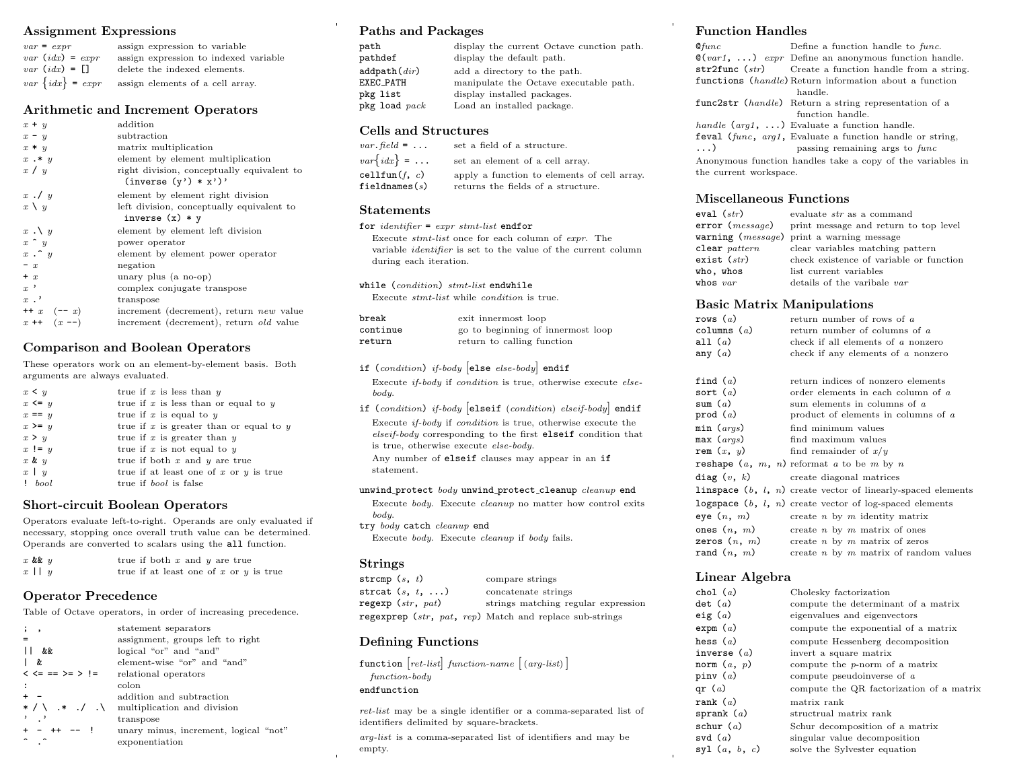# Assignment Expressions

| $var = expr$          | assign expression to variable         |
|-----------------------|---------------------------------------|
| $var$ $(idx) = expr$  | assign expression to indexed variable |
| $var$ $(idx) = \Box$  | delete the indexed elements.          |
| $var\ \{idx\} = expr$ | assign elements of a cell array.      |

## Arithmetic and Increment Operators

| $x + y$           | addition                                                             |
|-------------------|----------------------------------------------------------------------|
| $x - y$           | subtraction                                                          |
| $x * y$           | matrix multiplication                                                |
| $x \cdot * y$     | element by element multiplication                                    |
| x / y             | right division, conceptually equivalent to<br>$(inverse (y') * x')'$ |
| $x \cdot y$       | element by element right division                                    |
| $x \setminus y$   | left division, conceptually equivalent to<br>inverse $(x) * y$       |
| $x \cdot \vee y$  | element by element left division                                     |
| $x \uparrow y$    | power operator                                                       |
| $x \cdot \hat{y}$ | element by element power operator                                    |
| $- x$             | negation                                                             |
| $+ x$             | unary plus (a no-op)                                                 |
| $x$ ,             | complex conjugate transpose                                          |
| $x$ .'            | transpose                                                            |
| $++ x (-x)$       | increment (decrement), return new value                              |
| $x + (x - )$      | increment (decrement), return <i>old</i> value                       |

# Comparison and Boolean Operators

These operators work on an element-by-element basis. Both arguments are always evaluated.

| $x \leq y$ | true if $x$ is less than $y$              |
|------------|-------------------------------------------|
| $x \leq y$ | true if $x$ is less than or equal to $y$  |
| $x == y$   | true if x is equal to $y$                 |
| $x \geq y$ | true if x is greater than or equal to $y$ |
| x > y      | true if $x$ is greater than $y$           |
| $x := y$   | true if $x$ is not equal to $y$           |
| $x \& y$   | true if both $x$ and $y$ are true         |
| $x \mid y$ | true if at least one of x or $y$ is true  |
| $!$ bool   | true if <i>bool</i> is false              |

# Short-circuit Boolean Operators

Operators evaluate left-to-right. Operands are only evaluated if necessary, stopping once overall truth value can be determined. Operands are converted to scalars using the all function.

| $x$ & $y$  | true if both $x$ and $y$ are true          |  |
|------------|--------------------------------------------|--|
| $x \mid y$ | true if at least one of $x$ or $y$ is true |  |

# Operator Precedence

Table of Octave operators, in order of increasing precedence.

| $\cdot$ ,                   | statement separators                  |
|-----------------------------|---------------------------------------|
|                             | assignment, groups left to right      |
| &&                          | logical "or" and "and"                |
| &.                          | element-wise "or" and "and"           |
| $\lt \lt = == \gt = \gt !=$ | relational operators                  |
|                             | colon                                 |
|                             | addition and subtraction              |
| $*$ / \ $*$ . / . \         | multiplication and division           |
|                             | transpose                             |
| $+ - +$                     | unary minus, increment, logical "not" |
|                             | exponentiation                        |

# Paths and Packages

| path                                             | display the current Octave cunction path. |
|--------------------------------------------------|-------------------------------------------|
| pathdef                                          | display the default path.                 |
| $\mathtt{addpath}(\mathit{dir})$                 | add a directory to the path.              |
| EXEC_PATH                                        | manipulate the Octave executable path.    |
| pkg list                                         | display installed packages.               |
| $\normalfont{\texttt{pkg}}$ load $\textit{pack}$ | Load an installed package.                |

## Cells and Structures

| $var$ . field = $\dots$            | set a field of a structure.                                                       |
|------------------------------------|-----------------------------------------------------------------------------------|
| $var\{idx\}$ =                     | set an element of a cell array.                                                   |
| cellfun(f, c)<br>fieldnames( $s$ ) | apply a function to elements of cell array.<br>returns the fields of a structure. |
|                                    |                                                                                   |

# Statements

for  $identityier = expr \,stmt-list \, endfor$ Execute stmt-list once for each column of expr. The variable identifier is set to the value of the current column during each iteration.

while (condition) stmt-list endwhile

Execute stmt-list while condition is true.

| break    | exit innermost loop               |
|----------|-----------------------------------|
| continue | go to beginning of innermost loop |
| return   | return to calling function        |

# if (condition) if-body else else-body endif

Execute if-body if condition is true, otherwise execute elsebody.

if (condition) if-body [elseif (condition) elseif-body] endif Execute if-body if condition is true, otherwise execute the elseif-body corresponding to the first elseif condition that is true, otherwise execute else-body.

Any number of elseif clauses may appear in an if statement.

#### unwind\_protect body unwind\_protect\_cleanup cleanup end

Execute body. Execute cleanup no matter how control exits body.

try body catch cleanup end

Execute body. Execute cleanup if body fails.

#### Strings

| strcmp $(s, t)$         | compare strings                                         |
|-------------------------|---------------------------------------------------------|
| strcat $(s, t, \ldots)$ | concatenate strings                                     |
| regexp $(str, pat)$     | strings matching regular expression                     |
|                         | regexprep (str, pat, rep) Match and replace sub-strings |

# Defining Functions

|                  | function $[ret-list] function-name [(arg-list)]$ |  |
|------------------|--------------------------------------------------|--|
| $function$ -body |                                                  |  |
| endfunction      |                                                  |  |
|                  |                                                  |  |

ret-list may be a single identifier or a comma-separated list of identifiers delimited by square-brackets.

arg-list is a comma-separated list of identifiers and may be empty.

# Function Handles

| $Q$ func               | Define a function handle to func.                                     |  |
|------------------------|-----------------------------------------------------------------------|--|
|                        | $\mathcal{Q}(var1, \ldots)$ expr Define an anonymous function handle. |  |
|                        | $str2func (str)$ Create a function handle from a string.              |  |
|                        | functions (handle) Return information about a function                |  |
|                        | handle.                                                               |  |
|                        | func2str (handle) Return a string representation of a                 |  |
| function handle.       |                                                                       |  |
|                        | handle $(\text{arg1}, \ldots)$ Evaluate a function handle.            |  |
|                        | feval (func, arg1, Evaluate a function handle or string,              |  |
| $\ldots$               | passing remaining args to func                                        |  |
|                        | Anonymous function handles take a copy of the variables in            |  |
| the current workspace. |                                                                       |  |

# Miscellaneous Functions

| eval ( $str)$             | evaluate str as a command                              |
|---------------------------|--------------------------------------------------------|
|                           | $error(message)$ print message and return to top level |
|                           | warning $(message)$ print a warning message            |
| $\texttt{clear}\ pattern$ | clear variables matching pattern                       |
| exist $(\mathit{str})$    | check existence of variable or function                |
| who, whos                 | list current variables                                 |
| whos $var$                | details of the varibale var                            |
|                           |                                                        |

# Basic Matrix Manipulations

| rows (a)<br>columns ( $a$ )<br>all ( $a$ )<br>any ( $a$ ) | return number of rows of a<br>return number of columns of a<br>check if all elements of a nonzero<br>check if any elements of $a$ nonzero |
|-----------------------------------------------------------|-------------------------------------------------------------------------------------------------------------------------------------------|
| find (a)                                                  | return indices of nonzero elements                                                                                                        |
| sort (a)                                                  | order elements in each column of a                                                                                                        |
| sum ( $a$ )                                               | sum elements in columns of a                                                                                                              |
| prod ( $a$ )                                              | product of elements in columns of $a$                                                                                                     |
| min ( $\mathit{args})$                                    | find minimum values                                                                                                                       |
| max ( $args$ )                                            | find maximum values                                                                                                                       |
| rem $(x, y)$                                              | find remainder of $x/y$                                                                                                                   |
|                                                           | <b>reshape</b> $(a, m, n)$ reformat $a$ to be $m$ by $n$                                                                                  |
|                                                           | $diag(v, k)$ create diagonal matrices                                                                                                     |
|                                                           | linspace $(b, l, n)$ create vector of linearly-spaced elements                                                                            |
|                                                           | logspace $(b, l, n)$ create vector of log-spaced elements                                                                                 |
| eye $(n, m)$                                              | create $n \times m$ identity matrix                                                                                                       |
| ones $(n, m)$                                             | create $n$ by $m$ matrix of ones                                                                                                          |
| zeros $(n, m)$                                            | create $n \times m$ matrix of zeros                                                                                                       |
| rand(n, m)                                                | create $n$ by $m$ matrix of random values                                                                                                 |
|                                                           |                                                                                                                                           |

# Linear Algebra

| chol $(a)$                        | Cholesky factorization                   |
|-----------------------------------|------------------------------------------|
| $\det$ (a)                        | compute the determinant of a matrix      |
| eig ( $a$ )                       | eigenvalues and eigenvectors             |
| expm (a)                          | compute the exponential of a matrix      |
| hess ( $a$ )                      | compute Hessenberg decomposition         |
| inverse $(a)$                     | invert a square matrix                   |
| norm $(a, p)$                     | compute the p-norm of a matrix           |
| pinv ( $a$ )                      | compute pseudoinverse of $a$             |
| qr ( $a$ )                        | compute the QR factorization of a matrix |
| $\texttt{rank} \;\, \textit{(a)}$ | matrix rank                              |
| sprank $(a)$                      | structrual matrix rank                   |
| schur ( $a$ )                     | Schur decomposition of a matrix          |
| svd $(a)$                         | singular value decomposition             |
| syl $(a, b, c)$                   | solve the Sylvester equation             |
|                                   |                                          |